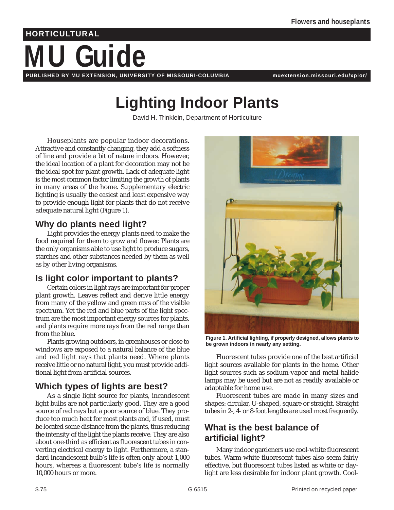# **HORTICULTURAL**

# **MU Guide PUBLISHED BY MU EXTENSION, UNIVERSITY OF MISSOURI-COLUMBIA muextension.missouri.edu/xplor/**

# **Lighting Indoor Plants**

David H. Trinklein, Department of Horticulture

Houseplants are popular indoor decorations. Attractive and constantly changing, they add a softness of line and provide a bit of nature indoors. However, the ideal location of a plant for decoration may not be the ideal spot for plant growth. Lack of adequate light is the most common factor limiting the growth of plants in many areas of the home. Supplementary electric lighting is usually the easiest and least expensive way to provide enough light for plants that do not receive adequate natural light (Figure 1).

#### **Why do plants need light?**

Light provides the energy plants need to make the food required for them to grow and flower. Plants are the only organisms able to use light to produce sugars, starches and other substances needed by them as well as by other living organisms.

# **Is light color important to plants?**

Certain colors in light rays are important for proper plant growth. Leaves reflect and derive little energy from many of the yellow and green rays of the visible spectrum. Yet the red and blue parts of the light spectrum are the most important energy sources for plants, and plants require more rays from the red range than from the blue.

Plants growing outdoors, in greenhouses or close to windows are exposed to a natural balance of the blue and red light rays that plants need. Where plants receive little or no natural light, you must provide additional light from artificial sources.

# **Which types of lights are best?**

As a single light source for plants, incandescent light bulbs are not particularly good. They are a good source of red rays but a poor source of blue. They produce too much heat for most plants and, if used, must be located some distance from the plants, thus reducing the intensity of the light the plants receive. They are also about one-third as efficient as fluorescent tubes in converting electrical energy to light. Furthermore, a standard incandescent bulb's life is often only about 1,000 hours, whereas a fluorescent tube's life is normally 10,000 hours or more.



**Figure 1. Artificial lighting, if properly designed, allows plants to be grown indoors in nearly any setting.**

Fluorescent tubes provide one of the best artificial light sources available for plants in the home. Other light sources such as sodium-vapor and metal halide lamps may be used but are not as readily available or adaptable for home use.

Fluorescent tubes are made in many sizes and shapes: circular, U-shaped, square or straight. Straight tubes in 2-, 4- or 8-foot lengths are used most frequently.

# **What is the best balance of artificial light?**

Many indoor gardeners use cool-white fluorescent tubes. Warm-white fluorescent tubes also seem fairly effective, but fluorescent tubes listed as white or daylight are less desirable for indoor plant growth. Cool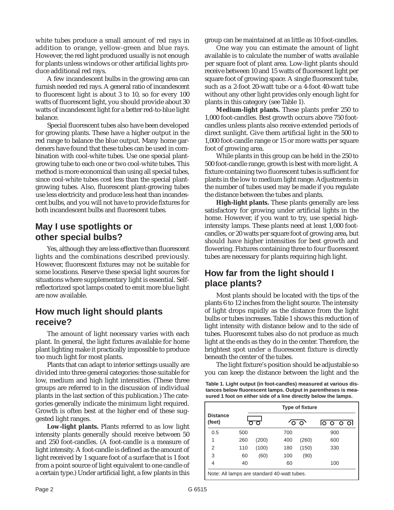white tubes produce a small amount of red rays in addition to orange, yellow-green and blue rays. However, the red light produced usually is not enough for plants unless windows or other artificial lights produce additional red rays.

A few incandescent bulbs in the growing area can furnish needed red rays. A general ratio of incandescent to fluorescent light is about 3 to 10, so for every 100 watts of fluorescent light, you should provide about 30 watts of incandescent light for a better red-to-blue light balance.

Special fluorescent tubes also have been developed for growing plants. These have a higher output in the red range to balance the blue output. Many home gardeners have found that these tubes can be used in combination with cool-white tubes. Use one special plantgrowing tube to each one or two cool-white tubes. This method is more economical than using all special tubes, since cool-white tubes cost less than the special plantgrowing tubes. Also, fluorescent plant-growing tubes use less electricity and produce less heat than incandescent bulbs, and you will not have to provide fixtures for both incandescent bulbs and fluorescent tubes.

#### **May I use spotlights or other special bulbs?**

Yes, although they are less effective than fluorescent lights and the combinations described previously. However, fluorescent fixtures may not be suitable for some locations. Reserve these special light sources for situations where supplementary light is essential. Selfreflectorized spot lamps coated to emit more blue light are now available.

#### **How much light should plants receive?**

The amount of light necessary varies with each plant. In general, the light fixtures available for home plant lighting make it practically impossible to produce too much light for most plants.

Plants that can adapt to interior settings usually are divided into three general categories: those suitable for low, medium and high light intensities. (These three groups are referred to in the discussion of individual plants in the last section of this publication.) The categories generally indicate the minimum light required. Growth is often best at the higher end of these suggested light ranges.

**Low-light plants.** Plants referred to as low light intensity plants generally should receive between 50 and 250 foot-candles. (A foot-candle is a measure of light intensity. A foot-candle is defined as the amount of light received by 1 square foot of a surface that is 1 foot from a point source of light equivalent to one candle of a certain type.) Under artificial light, a few plants in this

group can be maintained at as little as 10 foot-candles.

One way you can estimate the amount of light available is to calculate the number of watts available per square foot of plant area. Low-light plants should receive between 10 and 15 watts of fluorescent light per square foot of growing space. A single fluorescent tube, such as a 2-foot 20-watt tube or a 4-foot 40-watt tube without any other light provides only enough light for plants in this category (see Table 1).

**Medium-light plants.** These plants prefer 250 to 1,000 foot-candles. Best growth occurs above 750 footcandles unless plants also receive extended periods of direct sunlight. Give them artificial light in the 500 to 1,000 foot-candle range or 15 or more watts per square foot of growing area.

While plants in this group can be held in the 250 to 500 foot-candle range, growth is best with more light. A fixture containing two fluorescent tubes is sufficient for plants in the low to medium light range. Adjustments in the number of tubes used may be made if you regulate the distance between the tubes and plants.

**High-light plants.** These plants generally are less satisfactory for growing under artificial lights in the home. However, if you want to try, use special highintensity lamps. These plants need at least 1,000 footcandles, or 20 watts per square foot of growing area, but should have higher intensities for best growth and flowering. Fixtures containing three to four fluorescent tubes are necessary for plants requiring high light.

# **How far from the light should I place plants?**

Most plants should be located with the tips of the plants 6 to 12 inches from the light source. The intensity of light drops rapidly as the distance from the light bulbs or tubes increases. Table 1 shows this reduction of light intensity with distance below and to the side of tubes. Fluorescent tubes also do not produce as much light at the ends as they do in the center. Therefore, the brightest spot under a fluorescent fixture is directly beneath the center of the tubes.

The light fixture's position should be adjustable so you can keep the distance between the light and the

**Table 1. Light output (in foot-candles) measured at various distances below fluorescent lamps. Output in parentheses is measured 1 foot on either side of a line directly below the lamps.**

|                                             | <b>Type of fixture</b> |       |              |       |           |
|---------------------------------------------|------------------------|-------|--------------|-------|-----------|
| <b>Distance</b><br>(feet)                   | $\mathbf{\cdot}$       |       | $\circ$<br>∩ |       | lo o o ol |
| 0.5                                         | 500                    |       | 700          |       | 900       |
| 1                                           | 260                    | (200) | 400          | (260) | 600       |
| 2                                           | 110                    | (100) | 180          | (150) | 330       |
| 3                                           | 60                     | (60)  | 100          | (90)  |           |
| 4                                           | 40                     |       | 60           |       | 100       |
| Note: All lamps are standard 40-watt tubes. |                        |       |              |       |           |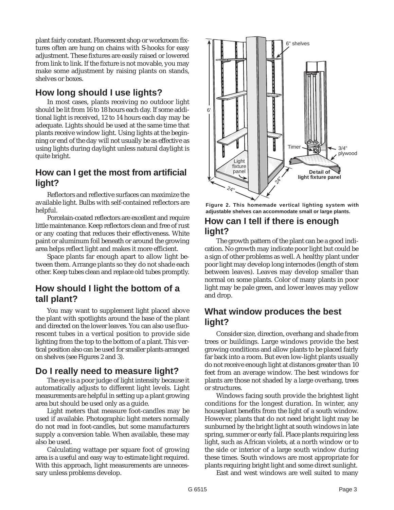plant fairly constant. Fluorescent shop or workroom fixtures often are hung on chains with S-hooks for easy adjustment. These fixtures are easily raised or lowered from link to link. If the fixture is not movable, you may make some adjustment by raising plants on stands, shelves or boxes.

#### **How long should I use lights?**

In most cases, plants receiving no outdoor light should be lit from 16 to 18 hours each day. If some additional light is received, 12 to 14 hours each day may be adequate. Lights should be used at the same time that plants receive window light. Using lights at the beginning or end of the day will not usually be as effective as using lights during daylight unless natural daylight is quite bright.

#### **How can I get the most from artificial light?**

Reflectors and reflective surfaces can maximize the available light. Bulbs with self-contained reflectors are helpful.

Porcelain-coated reflectors are excellent and require little maintenance. Keep reflectors clean and free of rust or any coating that reduces their effectiveness. White paint or aluminum foil beneath or around the growing area helps reflect light and makes it more efficient.

Space plants far enough apart to allow light between them. Arrange plants so they do not shade each other. Keep tubes clean and replace old tubes promptly.

# **How should I light the bottom of a tall plant?**

You may want to supplement light placed above the plant with spotlights around the base of the plant and directed on the lower leaves. You can also use fluorescent tubes in a vertical position to provide side lighting from the top to the bottom of a plant. This vertical position also can be used for smaller plants arranged on shelves (see Figures 2 and 3).

# **Do I really need to measure light?**

The eye is a poor judge of light intensity because it automatically adjusts to different light levels. Light measurements are helpful in setting up a plant growing area but should be used only as a guide.

Light meters that measure foot-candles may be used if available. Photographic light meters normally do not read in foot-candles, but some manufacturers supply a conversion table. When available, these may also be used.

Calculating wattage per square foot of growing area is a useful and easy way to estimate light required. With this approach, light measurements are unnecessary unless problems develop.



**Figure 2. This homemade vertical lighting system with adjustable shelves can accommodate small or large plants.**

#### **How can I tell if there is enough light?**

The growth pattern of the plant can be a good indication. No growth may indicate poor light but could be a sign of other problems as well. A healthy plant under poor light may develop long internodes (length of stem between leaves). Leaves may develop smaller than normal on some plants. Color of many plants in poor light may be pale green, and lower leaves may yellow and drop.

#### **What window produces the best light?**

Consider size, direction, overhang and shade from trees or buildings. Large windows provide the best growing conditions and allow plants to be placed fairly far back into a room. But even low-light plants usually do not receive enough light at distances greater than 10 feet from an average window. The best windows for plants are those not shaded by a large overhang, trees or structures.

Windows facing south provide the brightest light conditions for the longest duration. In winter, any houseplant benefits from the light of a south window. However, plants that do not need bright light may be sunburned by the bright light at south windows in late spring, summer or early fall. Place plants requiring less light, such as African violets, at a north window or to the side or interior of a large south window during these times. South windows are most appropriate for plants requiring bright light and some direct sunlight.

East and west windows are well suited to many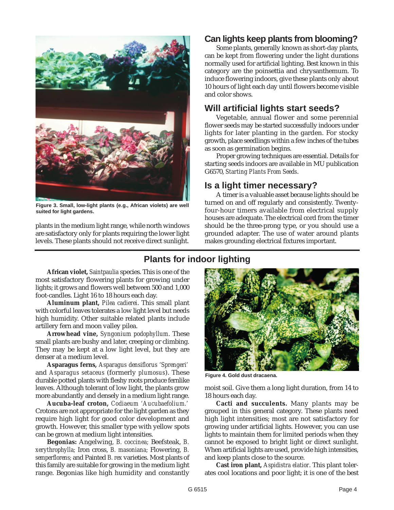

**Figure 3. Small, low-light plants (e.g., African violets) are well suited for light gardens.**

plants in the medium light range, while north windows are satisfactory only for plants requiring the lower light levels. These plants should not receive direct sunlight.

#### **Can lights keep plants from blooming?**

Some plants, generally known as short-day plants, can be kept from flowering under the light durations normally used for artificial lighting. Best known in this category are the poinsettia and chrysanthemum. To induce flowering indoors, give these plants only about 10 hours of light each day until flowers become visible and color shows.

#### **Will artificial lights start seeds?**

Vegetable, annual flower and some perennial flower seeds may be started successfully indoors under lights for later planting in the garden. For stocky growth, place seedlings within a few inches of the tubes as soon as germination begins.

Proper growing techniques are essential. Details for starting seeds indoors are available in MU publication G6570, *Starting Plants From Seeds*.

#### **Is a light timer necessary?**

A timer is a valuable asset because lights should be turned on and off regularly and consistently. Twentyfour-hour timers available from electrical supply houses are adequate. The electrical cord from the timer should be the three-prong type, or you should use a grounded adapter. The use of water around plants makes grounding electrical fixtures important.

#### **Plants for indoor lighting**

**African violet,** *Saintpaulia* species. This is one of the most satisfactory flowering plants for growing under lights; it grows and flowers well between 500 and 1,000 foot-candles. Light 16 to 18 hours each day.

**Aluminum plant,** *Pilea cadierei*. This small plant with colorful leaves tolerates a low light level but needs high humidity. Other suitable related plants include artillery fern and moon valley pilea.

**Arrowhead vine,** *Syngonium podophyllum*. These small plants are bushy and later, creeping or climbing. They may be kept at a low light level, but they are denser at a medium level.

**Asparagus ferns,** *Asparagus densiflorus 'Sprengeri'* and *Asparagus setaceus* (formerly *plumosus*). These durable potted plants with fleshy roots produce fernlike leaves. Although tolerant of low light, the plants grow more abundantly and densely in a medium light range.

**Aucuba-leaf croton,** *Codiaeum 'Aucubaefolium.'* Crotons are not appropriate for the light garden as they require high light for good color development and growth. However, this smaller type with yellow spots can be grown at medium light intensities.

**Begonias:** Angelwing, *B. coccinea;* Beefsteak, *B. xerythrophylla;* Iron cross, *B. masoniana;* Flowering, *B. semperflorens;* and Painted *B. rex* varieties. Most plants of this family are suitable for growing in the medium light range. Begonias like high humidity and constantly



**Figure 4. Gold dust dracaena.**

moist soil. Give them a long light duration, from 14 to 18 hours each day.

**Cacti and succulents.** Many plants may be grouped in this general category. These plants need high light intensities; most are not satisfactory for growing under artificial lights. However, you can use lights to maintain them for limited periods when they cannot be exposed to bright light or direct sunlight. When artificial lights are used, provide high intensities, and keep plants close to the source.

**Cast iron plant,** *Aspidistra elatior*. This plant tolerates cool locations and poor light; it is one of the best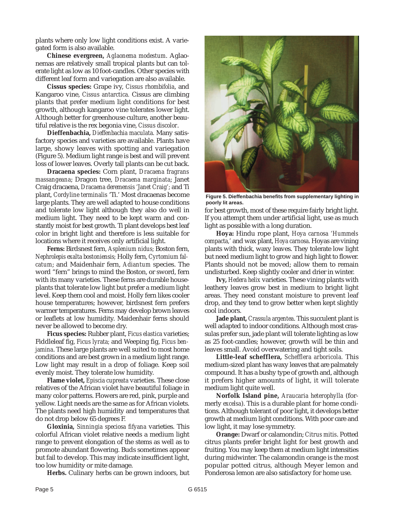plants where only low light conditions exist. A variegated form is also available.

**Chinese evergreen,** *Aglaonema modestum*. Aglaonemas are relatively small tropical plants but can tolerate light as low as 10 foot-candles. Other species with different leaf form and variegation are also available.

**Cissus species:** Grape ivy, *Cissus rhombifolia*, and Kangaroo vine, *Cissus antarctica.* Cissus are climbing plants that prefer medium light conditions for best growth, although kangaroo vine tolerates lower light. Although better for greenhouse culture, another beautiful relative is the rex begonia vine, *Cissus discolor*.

**Dieffenbachia,** *Dieffenbachia maculata.* Many satisfactory species and varieties are available. Plants have large, showy leaves with spotting and variegation (Figure 5). Medium light range is best and will prevent loss of lower leaves. Overly tall plants can be cut back.

**Dracaena species:** Corn plant, *Dracaena fragrans massangeana*; Dragon tree, *Dracaena marginata*; Janet Craig dracaena, *Dracaena deremensis 'Janet Craig';* and Ti plant, *Cordyline terminalis* 'Ti.' Most dracaenas become large plants. They are well adapted to house conditions and tolerate low light although they also do well in medium light. They need to be kept warm and constantly moist for best growth. Ti plant develops best leaf color in bright light and therefore is less suitable for locations where it receives only artificial light.

**Ferns:** Birdsnest fern, *Asplenium nidus;* Boston fern, *Nephrolepis exalta bostoniensis;* Holly fern, *Cyrtomium falcatum*; and Maidenhair fern, *Adiantum* species. The word "fern" brings to mind the Boston, or sword, fern with its many varieties. These ferns are durable houseplants that tolerate low light but prefer a medium light level. Keep them cool and moist. Holly fern likes cooler house temperatures; however, birdsnest fern prefers warmer temperatures. Ferns may develop brown leaves or leaflets at low humidity. Maidenhair ferns should never be allowed to become dry.

**Ficus species:** Rubber plant, *Ficus elastica* varieties; Fiddleleaf fig, *Ficus lyrata;* and Weeping fig, *Ficus benjamina*. These large plants are well suited to most home conditions and are best grown in a medium light range. Low light may result in a drop of foliage. Keep soil evenly moist. They tolerate low humidity.

**Flame violet,** *Episcia cupreata* varieties. These close relatives of the African violet have beautiful foliage in many color patterns. Flowers are red, pink, purple and yellow. Light needs are the same as for African violets. The plants need high humidity and temperatures that do not drop below 65 degrees F.

**Gloxinia,** *Sinningia speciosa fifyana* varieties. This colorful African violet relative needs a medium light range to prevent elongation of the stems as well as to promote abundant flowering. Buds sometimes appear but fail to develop. This may indicate insufficient light, too low humidity or mite damage.

**Herbs.** Culinary herbs can be grown indoors, but



**Figure 5. Dieffenbachia benefits from supplementary lighting in poorly lit areas.**

for best growth, most of these require fairly bright light. If you attempt them under artificial light, use as much light as possible with a long duration.

**Hoya:** Hindu rope plant, *Hoya carnosa 'Hummels compacta,'* and wax plant, *Hoya carnosa*. Hoyas are vining plants with thick, waxy leaves. They tolerate low light but need medium light to grow and high light to flower. Plants should not be moved; allow them to remain undisturbed. Keep slightly cooler and drier in winter.

**Ivy,** *Hedera helix* varieties. These vining plants with leathery leaves grow best in medium to bright light areas. They need constant moisture to prevent leaf drop, and they tend to grow better when kept slightly cool indoors.

**Jade plant,** *Crassula argentea*. This succulent plant is well adapted to indoor conditions. Although most crassulas prefer sun, jade plant will tolerate lighting as low as 25 foot-candles; however, growth will be thin and leaves small. Avoid overwatering and tight soils.

**Little-leaf schefflera,** *Schefflera arboricola.* This medium-sized plant has waxy leaves that are palmately compound. It has a bushy type of growth and, although it prefers higher amounts of light, it will tolerate medium light quite well.

**Norfolk Island pine,** *Araucaria heterophylla* (formerly *excelsa*). This is a durable plant for home conditions. Although tolerant of poor light, it develops better growth at medium light conditions. With poor care and low light, it may lose symmetry.

**Orange:** Dwarf or calamondin; *Citrus mitis*. Potted citrus plants prefer bright light for best growth and fruiting. You may keep them at medium light intensities during midwinter. The calamondin orange is the most popular potted citrus, although Meyer lemon and Ponderosa lemon are also satisfactory for home use.